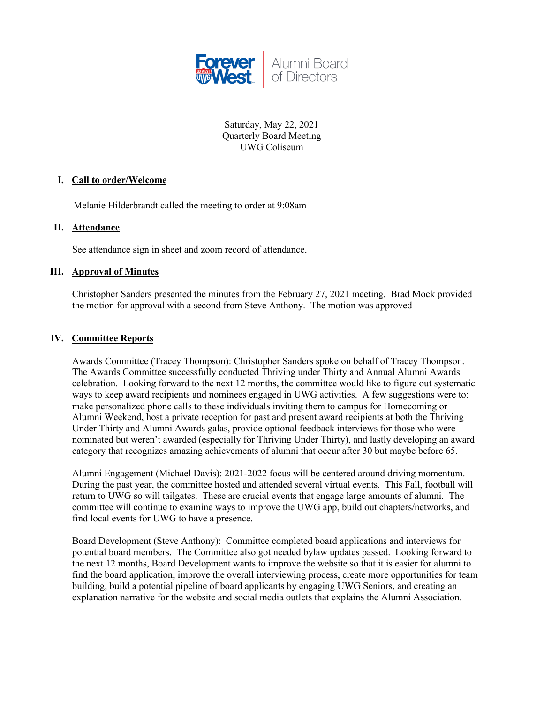

Saturday, May 22, 2021 Quarterly Board Meeting UWG Coliseum

## **I. Call to order/Welcome**

Melanie Hilderbrandt called the meeting to order at 9:08am

## **II. Attendance**

See attendance sign in sheet and zoom record of attendance.

### **III. Approval of Minutes**

Christopher Sanders presented the minutes from the February 27, 2021 meeting. Brad Mock provided the motion for approval with a second from Steve Anthony. The motion was approved

## **IV. Committee Reports**

Awards Committee (Tracey Thompson): Christopher Sanders spoke on behalf of Tracey Thompson. The Awards Committee successfully conducted Thriving under Thirty and Annual Alumni Awards celebration. Looking forward to the next 12 months, the committee would like to figure out systematic ways to keep award recipients and nominees engaged in UWG activities. A few suggestions were to: make personalized phone calls to these individuals inviting them to campus for Homecoming or Alumni Weekend, host a private reception for past and present award recipients at both the Thriving Under Thirty and Alumni Awards galas, provide optional feedback interviews for those who were nominated but weren't awarded (especially for Thriving Under Thirty), and lastly developing an award category that recognizes amazing achievements of alumni that occur after 30 but maybe before 65.

Alumni Engagement (Michael Davis): 2021-2022 focus will be centered around driving momentum. During the past year, the committee hosted and attended several virtual events. This Fall, football will return to UWG so will tailgates. These are crucial events that engage large amounts of alumni. The committee will continue to examine ways to improve the UWG app, build out chapters/networks, and find local events for UWG to have a presence.

Board Development (Steve Anthony): Committee completed board applications and interviews for potential board members. The Committee also got needed bylaw updates passed. Looking forward to the next 12 months, Board Development wants to improve the website so that it is easier for alumni to find the board application, improve the overall interviewing process, create more opportunities for team building, build a potential pipeline of board applicants by engaging UWG Seniors, and creating an explanation narrative for the website and social media outlets that explains the Alumni Association.